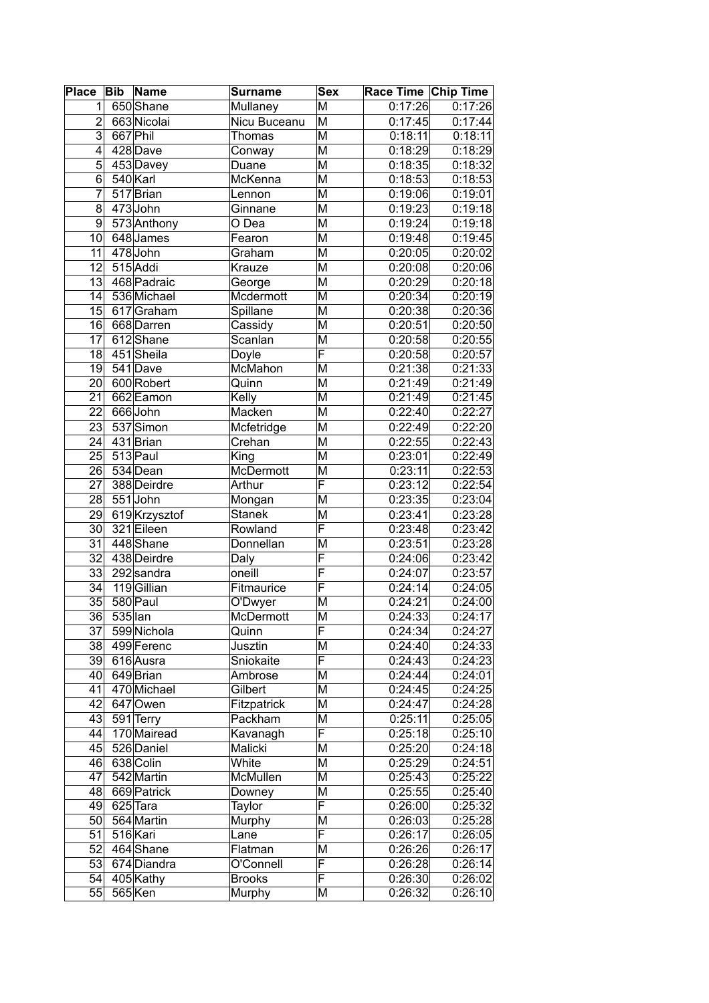| Place Bib       |            | Name          | <b>Surname</b>   | <b>Sex</b>                         | Race Time Chip Time |                      |
|-----------------|------------|---------------|------------------|------------------------------------|---------------------|----------------------|
| 1               |            | 650 Shane     | Mullaney         | M                                  | 0:17:26             | $\overline{0:}17:26$ |
| $\overline{2}$  |            | 663 Nicolai   | Nicu Buceanu     | M                                  | 0:17:45             | 0:17:44              |
| $\overline{3}$  | $667$ Phil |               | <b>Thomas</b>    | M                                  | 0:18:11             | 0:18:11              |
| $\overline{4}$  |            | 428 Dave      | Conway           | M                                  | 0:18:29             | 0:18:29              |
| 5               |            | 453 Davey     | Duane            | M                                  | 0:18:35             | 0:18:32              |
| $\overline{6}$  |            | 540 Karl      | McKenna          | M                                  | 0:18:53             | 0:18:53              |
| 7               |            | 517 Brian     | Lennon           | M                                  | 0:19:06             | 0:19:01              |
| 8               |            | 473John       | Ginnane          | M                                  | 0:19:23             | 0:19:18              |
| 9               |            | 573 Anthony   | O Dea            | M                                  | 0:19:24             | 0:19:18              |
| 10              |            | 648 James     | Fearon           | M                                  | 0:19:48             | 0:19:45              |
| 11              |            | 478 John      | Graham           | $\overline{\mathsf{M}}$            | 0:20:05             | 0:20:02              |
| 12              |            | 515 Addi      | Krauze           | M                                  | 0:20:08             | 0:20:06              |
| 13              |            | 468 Padraic   | George           | M                                  | 0:20:29             | 0:20:18              |
| 14              |            | 536 Michael   | Mcdermott        | M                                  | 0:20:34             | 0:20:19              |
| 15              |            | 617 Graham    | Spillane         | M                                  | 0:20:38             | 0:20:36              |
| 16              |            | 668 Darren    | Cassidy          | M                                  | 0:20:51             | 0:20:50              |
| 17              |            | 612 Shane     | Scanlan          | M                                  | 0:20:58             | 0:20:55              |
| $\overline{18}$ |            | 451 Sheila    | Doyle            | F                                  | 0:20:58             | 0:20:57              |
| $\overline{19}$ |            | 541 Dave      | McMahon          | $\overline{\mathsf{M}}$            | 0:21:38             | 0:21:33              |
| $\overline{20}$ |            | 600 Robert    | Quinn            | $\overline{\mathsf{M}}$            | 0:21:49             | 0:21:49              |
| $\overline{21}$ |            | 662 Eamon     | Kelly            | $\overline{\mathsf{M}}$            | 0:21:49             | 0:21:45              |
| 22              |            | 666John       | Macken           | M                                  | 0:22:40             | 0:22:27              |
| 23              |            | 537 Simon     | Mcfetridge       | M                                  | 0:22:49             | 0:22:20              |
| 24              |            | 431 Brian     | Crehan           | M                                  | 0:22:55             | 0:22:43              |
| $\overline{25}$ |            | 513 Paul      | King             | $\overline{\mathsf{M}}$            | 0:23:01             | 0:22:49              |
| 26              |            | 534 Dean      | <b>McDermott</b> | M                                  | 0:23:11             | 0:22:53              |
| $\overline{27}$ |            | 388 Deirdre   | Arthur           | $\overline{\overline{\mathsf{F}}}$ | 0:23:12             | 0:22:54              |
| 28              |            | 551 John      | Mongan           | M                                  | 0:23:35             | 0:23:04              |
| 29              |            | 619 Krzysztof | <b>Stanek</b>    | M                                  | 0:23:41             | 0:23:28              |
| $\overline{30}$ |            | 321 Eileen    | Rowland          | F                                  | 0:23:48             | 0:23:42              |
| $\overline{31}$ |            | 448 Shane     | Donnellan        | M                                  | 0:23:51             | 0:23:28              |
| $\overline{32}$ |            | 438 Deirdre   | Daly             | F                                  | 0:24:06             | 0:23:42              |
| 33              |            | 292 sandra    | oneill           | F                                  | 0:24:07             | 0:23:57              |
| $\overline{34}$ |            | 119Gillian    | Fitmaurice       | $\overline{\mathsf{F}}$            | 0:24:14             | 0:24:05              |
| $\overline{35}$ |            | 580 Paul      | O'Dwyer          | $\overline{\mathsf{M}}$            | 0:24:21             | 0:24:00              |
| $\overline{36}$ | $535$ lan  |               | McDermott        | $\overline{\mathsf{M}}$            | 0:24:33             | 0:24:17              |
| 37              |            | 599 Nichola   | Quinn            | F                                  | 0:24:34             | 0:24:27              |
| 38              |            | 499 Ferenc    | Jusztin          | M                                  | 0:24:40             | 0:24:33              |
| 39              |            | 616 Ausra     | Sniokaite        | F                                  | 0:24:43             | 0:24:23              |
| 40              |            | 649 Brian     | Ambrose          | M                                  | 0:24:44             | 0:24:01              |
| 41              |            | 470 Michael   | Gilbert          | M                                  | 0:24:45             | 0:24:25              |
| 42              |            | 647 Owen      | Fitzpatrick      | M                                  | 0:24:47             | 0:24:28              |
| 43              |            | 591 Terry     | Packham          | M                                  | 0:25:11             | 0:25:05              |
| 44              |            | 170 Mairead   | Kavanagh         | $\overline{\mathsf{F}}$            | 0:25:18             | 0:25:10              |
| 45              |            | 526 Daniel    | Malicki          | M                                  | 0:25:20             | 0:24:18              |
| 46              |            | 638 Colin     | White            | М                                  | 0:25:29             | 0:24:51              |
| 47              |            | 542 Martin    | McMullen         | M                                  | 0:25:43             | 0:25:22              |
| 48              |            | 669 Patrick   | Downey           | M                                  | 0:25:55             | 0:25:40              |
| 49              |            | 625 Tara      | Taylor           | F                                  | 0:26:00             | 0:25:32              |
| 50              |            | 564 Martin    | Murphy           | $\overline{\mathsf{M}}$            | 0:26:03             | 0:25:28              |
| 51              |            | 516 Kari      | Lane             | F                                  | 0:26:17             | 0:26:05              |
| 52              |            | 464 Shane     | Flatman          | Μ                                  | 0:26:26             | 0:26:17              |
| 53              |            | 674 Diandra   | O'Connell        | F                                  | 0:26:28             | 0:26:14              |
| 54              |            | 405 Kathy     | <b>Brooks</b>    | $\overline{\mathsf{F}}$            | 0:26:30             | 0:26:02              |
| $\overline{55}$ |            | 565 Ken       | Murphy           | M                                  | 0:26:32             | 0:26:10              |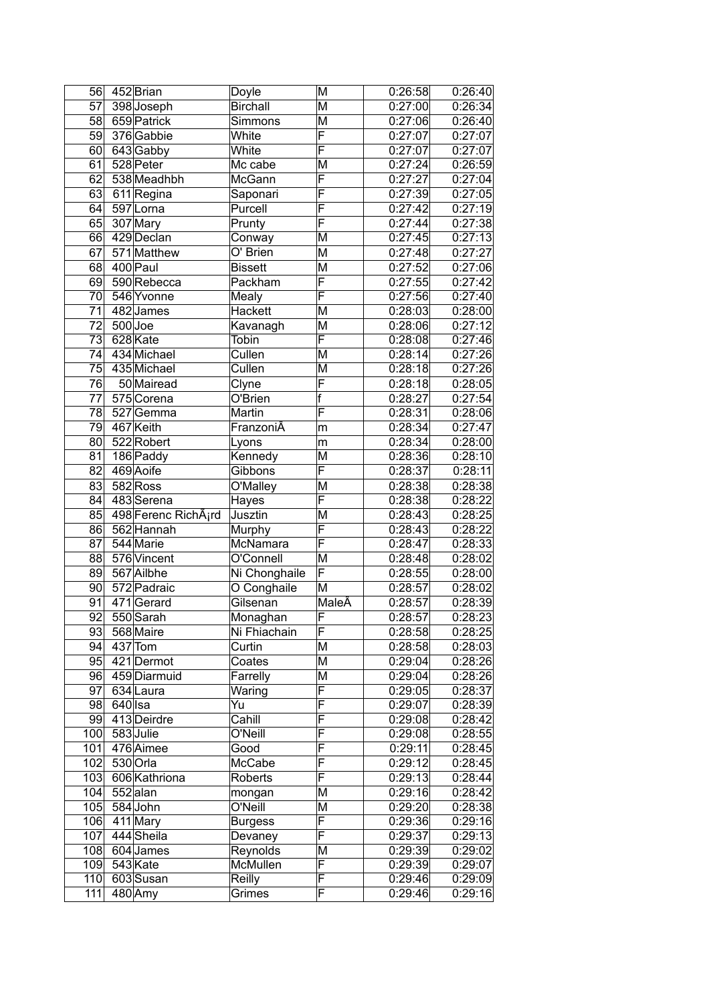| 56              |         | 452 Brian               | Doyle                     | $\overline{\mathsf{M}}$ | 0:26:58            | 0:26:40              |
|-----------------|---------|-------------------------|---------------------------|-------------------------|--------------------|----------------------|
| $\overline{57}$ |         | 398 Joseph              | <b>Birchall</b>           | M                       | 0:27:00            | 0:26:34              |
| 58              |         | 659 Patrick             | Simmons                   | M                       | 0:27:06            | 0:26:40              |
| 59              |         | 376 Gabbie              | White                     | F                       | 0:27:07            | 0:27:07              |
| 60              |         | 643 Gabby               | White                     | $\overline{\mathsf{F}}$ | 0:27:07            | 0:27:07              |
| 61              |         | 528 Peter               | Mc cabe                   | M                       | 0:27:24            | 0:26:59              |
| 62              |         | 538 Meadhbh             | McGann                    | F                       | 0:27:27            | 0:27:04              |
| 63              |         | 611 Regina              | Saponari                  | $\overline{\mathsf{F}}$ | 0:27:39            | 0:27:05              |
| 64              |         | $\overline{59}$ 7 Lorna | Purcell                   | F                       | 0:27:42            | 0:27:19              |
| 65              |         | 307 Mary                | Prunty                    | F                       | 0:27:44            | 0:27:38              |
| 66              |         | 429 Declan              | Conway                    | $\overline{\mathsf{M}}$ | 0:27:45            | 0:27:13              |
| 67              |         | 571 Matthew             | $O'$ Brien                | M                       | 0:27:48            | 0:27:27              |
| 68              |         | 400 Paul                | <b>Bissett</b>            | M                       | 0:27:52            | $\overline{0:}27:06$ |
| 69              |         | 590 Rebecca             | Packham                   | $\overline{\mathsf{F}}$ | 0:27:55            | 0:27:42              |
| 70              |         | 546 Yvonne              | Mealy                     | $\overline{\mathsf{F}}$ | 0:27:56            | 0:27:40              |
| 71              |         | 482 James               | Hackett                   | M                       | 0:28:03            | 0:28:00              |
| 72              |         | $500$ Joe               | Kavanagh                  | M                       | 0:28:06            | 0:27:12              |
| $\overline{73}$ |         | 628 Kate                | Tobin                     | $\overline{\mathsf{F}}$ | 0:28:08            | 0:27:46              |
| 74              |         | 434 Michael             | Cullen                    | $\overline{\mathsf{M}}$ | 0:28:14            | 0:27:26              |
| $\overline{75}$ |         | 435 Michael             | Cullen                    | $\overline{\mathsf{M}}$ | 0:28:18            | 0:27:26              |
| 76              |         | 50 Mairead              | Clyne                     | $\overline{\mathsf{F}}$ | 0:28:18            | 0:28:05              |
| 77              |         | 575 Corena              | O'Brien                   | f                       | 0:28:27            | 0:27:54              |
| 78              |         | 527 Gemma               | Martin                    | F                       | 0:28:31            | 0:28:06              |
| 79              |         | 467 Keith               | FranzoniÂ                 | m                       | 0:28:34            | 0:27:47              |
| 80              |         | 522 Robert              | Lyons                     | m                       | 0:28:34            | 0:28:00              |
| $\overline{81}$ |         | 186 Paddy               | Kennedy                   | $\overline{\mathsf{M}}$ | 0:28:36            | 0:28:10              |
| 82              |         | 469 Aoife               | Gibbons                   | $\overline{\mathsf{F}}$ | 0:28:37            | 0:28:11              |
| 83              |         | 582 Ross                | O'Malley                  | M                       | 0:28:38            | 0:28:38              |
| 84              |         | 483 Serena              | Hayes                     | F                       | 0:28:38            | 0:28:22              |
| 85              |         | 498 Ferenc RichAird     | Jusztin                   | M                       | 0:28:43            | 0:28:25              |
| 86              |         | 562 Hannah              | Murphy                    | $\overline{\mathsf{F}}$ | 0:28:43            | 0:28:22              |
| 87              |         | 544 Marie               | McNamara                  | F                       | 0:28:47            | 0:28:33              |
| 88              |         | 576 Vincent             | O'Connell                 | M                       | 0:28:48            | 0:28:02              |
| 89              |         | 567 Ailbhe              | Ni Chonghaile             | F                       | 0:28:55            | 0:28:00              |
| 90 <sub>0</sub> |         | 572 Padraic             | O Conghaile               | M                       | 0:28:57            | 0:28:02              |
| 91              |         | 471 Gerard              | Gilsenan                  | MaleÂ                   | 0:28:57            | 0:28:39              |
| 92              |         | 550 Sarah               | Monaghan                  | $\overline{F}$          | 0:28:57            | 0:28:23              |
| 93              |         | 568 Maire               | Ni Fhiachain              | F                       | 0:28:58            | 0:28:25              |
| 94              |         | $437$ Tom               | Curtin                    | M                       | 0:28:58            | 0:28:03              |
|                 |         | 95 421 Dermot           | Coates                    | M                       | 0:29:04            | 0:28:26              |
| 96              |         | 459 Diarmuid            | Farrelly                  | М                       | 0:29:04            | 0:28:26              |
| 97              |         | 634 Laura               | Waring                    | F                       | 0:29:05            | 0:28:37              |
| 98              | 640∣lsa |                         | Υū                        | F<br>F                  | 0:29:07            | 0:28:39              |
|                 |         | 99 413 Deirdre          | Cahill                    | F                       | 0:29:08            | 0:28:42              |
| 100             |         | 583 Julie               | O'Neill                   |                         | 0:29:08            | 0:28:55              |
| 101             |         | 476 Aimee               | Good                      | F<br>F                  | 0:29:11            | 0:28:45              |
| 102             |         | 530 Orla                | McCabe                    | $\overline{\mathsf{F}}$ | 0:29:12            | 0:28:45              |
| 103             |         | 606 Kathriona           | Roberts                   |                         | 0:29:13            | 0:28:44              |
| 104<br>105      |         | $552$ alan<br>584 John  | mongan<br>O'Neill         | Μ<br>Μ                  | 0:29:16            | 0:28:42              |
| 106             |         | 411 Mary                |                           | F                       | 0:29:20            | 0:28:38              |
| 107             |         | 444 Sheila              | <b>Burgess</b><br>Devaney | F                       | 0:29:36<br>0:29:37 | 0:29:16<br>0:29:13   |
| 108             |         | 604 James               | Reynolds                  | М                       | 0:29:39            | 0:29:02              |
| 109             |         | 543 Kate                | McMullen                  | F                       | 0:29:39            | 0:29:07              |
| 110             |         | 603 Susan               | Reilly                    | F                       | 0:29:46            | 0:29:09              |
| 111             |         | $480$ Amy               | Grimes                    | F                       | 0:29:46            | 0:29:16              |
|                 |         |                         |                           |                         |                    |                      |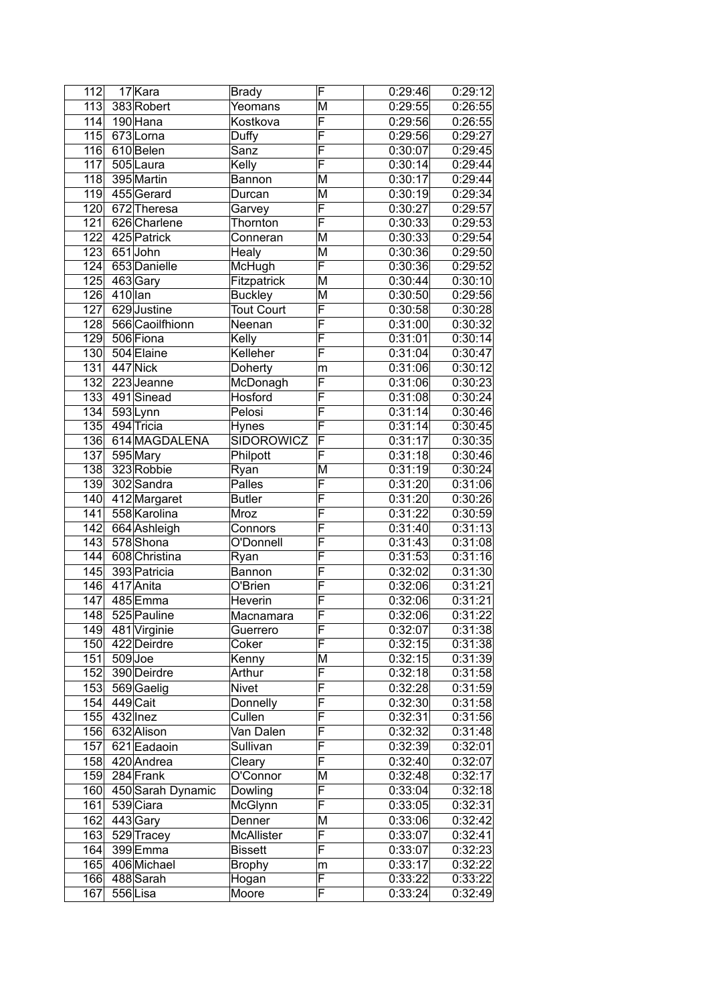| $\overline{112}$ |           | 17 Kara                    | <b>Brady</b>      | F                            | 0:29:46 | 0:29:12 |
|------------------|-----------|----------------------------|-------------------|------------------------------|---------|---------|
| 113              |           | 383 Robert                 | Yeomans           | M                            | 0:29:55 | 0:26:55 |
| 114              |           | 190 Hana                   | Kostkova          | F                            | 0:29:56 | 0:26:55 |
|                  |           | 115 673 Lorna              | Duffy             | F                            | 0:29:56 | 0:29:27 |
|                  |           | 116 610 Belen              | Sanz              | $\overline{\mathsf{F}}$      | 0:30:07 | 0:29:45 |
| 117              |           | 505 Laura                  | Kelly             | F                            | 0:30:14 | 0:29:44 |
|                  |           | 118 395 Martin             | Bannon            | M                            | 0:30:17 | 0:29:44 |
|                  |           | 119 455 Gerard             | Durcan            | M                            | 0:30:19 | 0:29:34 |
|                  |           | 120 672 Theresa            | Garvey            | F                            | 0:30:27 | 0:29:57 |
| 121              |           | 626 Charlene               | Thornton          | F                            | 0:30:33 | 0:29:53 |
| 122              |           | 425 Patrick                | Conneran          | M                            | 0:30:33 | 0:29:54 |
|                  |           | 123 651 John               | Healy             | M                            | 0:30:36 | 0:29:50 |
|                  |           | 124 653 Danielle           | McHugh            | F                            | 0:30:36 | 0:29:52 |
| 125              |           | 463∣Gary                   | Fitzpatrick       | $\overline{\mathsf{M}}$      | 0:30:44 | 0:30:10 |
| 126              | $410$ lan |                            | <b>Buckley</b>    | $\overline{\mathsf{M}}$      | 0:30:50 | 0:29:56 |
| 127              |           | 629 Justine                | <b>Tout Court</b> | $\overline{\mathsf{F}}$      | 0:30:58 | 0:30:28 |
| 128              |           | 566 Caoilfhionn            | Neenan            | $\overline{\mathsf{F}}$      | 0:31:00 | 0:30:32 |
|                  |           | 129 506 Fiona              | Kelly             | $\overline{\mathsf{F}}$      | 0:31:01 | 0:30:14 |
| 130              |           | 504 Elaine                 | Kelleher          | $\overline{\mathsf{F}}$      | 0:31:04 |         |
|                  |           | 447 Nick                   |                   |                              |         | 0:30:47 |
| $\overline{131}$ |           |                            | <b>Doherty</b>    | m<br>$\overline{\mathsf{F}}$ | 0:31:06 | 0:30:12 |
| 132              |           | 223 Jeanne                 | McDonagh          |                              | 0:31:06 | 0:30:23 |
|                  |           | 133 491 Sinead             | Hosford           | $\overline{\mathsf{F}}$      | 0:31:08 | 0:30:24 |
| 134              |           | 593Lynn                    | Pelosi            | $\overline{\mathsf{F}}$      | 0:31:14 | 0:30:46 |
| $\overline{135}$ |           | 494 Tricia                 | <b>Hynes</b>      | $\overline{\mathsf{F}}$      | 0:31:14 | 0:30:45 |
| 136              |           | 614 MAGDALENA              | <b>SIDOROWICZ</b> | $\overline{\mathsf{F}}$      | 0:31:17 | 0:30:35 |
| 137              |           | 595 Mary                   | Philpott          | $\overline{\mathsf{F}}$      | 0:31:18 | 0:30:46 |
| 138              |           | 323 Robbie                 | Ryan              | M                            | 0:31:19 | 0:30:24 |
| 139              |           | 302 Sandra                 | Palles            | $\overline{\mathsf{F}}$      | 0:31:20 | 0:31:06 |
| 140              |           | $\overline{41}$ 2 Margaret | <b>Butler</b>     | F                            | 0:31:20 | 0:30:26 |
| 141              |           | 558 Karolina               | Mroz              | F                            | 0:31:22 | 0:30:59 |
| 142              |           | 664 Ashleigh               | Connors           | $\overline{\mathsf{F}}$      | 0:31:40 | 0:31:13 |
| 143              |           | 578 Shona                  | O'Donnell         | $\overline{\mathsf{F}}$      | 0:31:43 | 0:31:08 |
| 144              |           | 608 Christina              | Ryan              | F                            | 0:31:53 | 0:31:16 |
| 145              |           | 393 Patricia               | Bannon            | $\overline{\mathsf{F}}$      | 0:32:02 | 0:31:30 |
|                  |           | 146 417 Anita              | O'Brien           | F                            | 0:32:06 | 0:31:21 |
| 147              |           | 485 Emma                   | Heverin           | F                            | 0:32:06 | 0:31:21 |
|                  |           | 148 525 Pauline            | Macnamara         | $\overline{\mathsf{F}}$      | 0:32:06 | 0:31:22 |
|                  |           | 149 481 Virginie           | Guerrero          | F                            | 0:32:07 | 0:31:38 |
|                  |           | 150 422 Deirdre            | Coker             | F                            | 0:32:15 | 0:31:38 |
| 151              | 509 Joe   |                            | Kenny             | M                            | 0:32:15 | 0:31:39 |
|                  |           | 152 390 Deirdre            | Arthur            | F                            | 0:32:18 | 0:31:58 |
|                  |           | 153 569 Gaelig             | <b>Nivet</b>      | F                            | 0:32:28 | 0:31:59 |
| 154              |           | 449 Cait                   | Donnelly          | F                            | 0:32:30 | 0:31:58 |
| 155              |           | $432$  lnez                | Cullen            | F                            | 0:32:31 | 0:31:56 |
|                  |           | 156 632 Alison             | Van Dalen         | F                            | 0:32:32 | 0:31:48 |
| 157              |           | 621 Eadaoin                | Sullivan          | F                            | 0:32:39 | 0:32:01 |
|                  |           | 158 420 Andrea             | Cleary            | F                            | 0:32:40 | 0:32:07 |
|                  |           | 159 284 Frank              | O'Connor          | M                            | 0:32:48 | 0:32:17 |
|                  |           | 160 450 Sarah Dynamic      | Dowling           | F                            | 0:33:04 | 0:32:18 |
| 161              |           | 539 Ciara                  | McGlynn           | $\overline{\mathsf{F}}$      | 0:33:05 | 0:32:31 |
| 162              |           | 443 Gary                   | Denner            | М                            | 0:33:06 | 0:32:42 |
| 163              |           | 529 Tracey                 | <b>McAllister</b> | F                            | 0:33:07 | 0:32:41 |
| 164              |           | 399 Emma                   | <b>Bissett</b>    | F                            | 0:33:07 | 0:32:23 |
| 165              |           | 406 Michael                | <b>Brophy</b>     | m                            | 0:33:17 | 0:32:22 |
| 166              |           | 488 Sarah                  | Hogan             | F                            | 0:33:22 | 0:33:22 |
| 167              |           | 556Lisa                    | Moore             | F                            | 0:33:24 | 0:32:49 |
|                  |           |                            |                   |                              |         |         |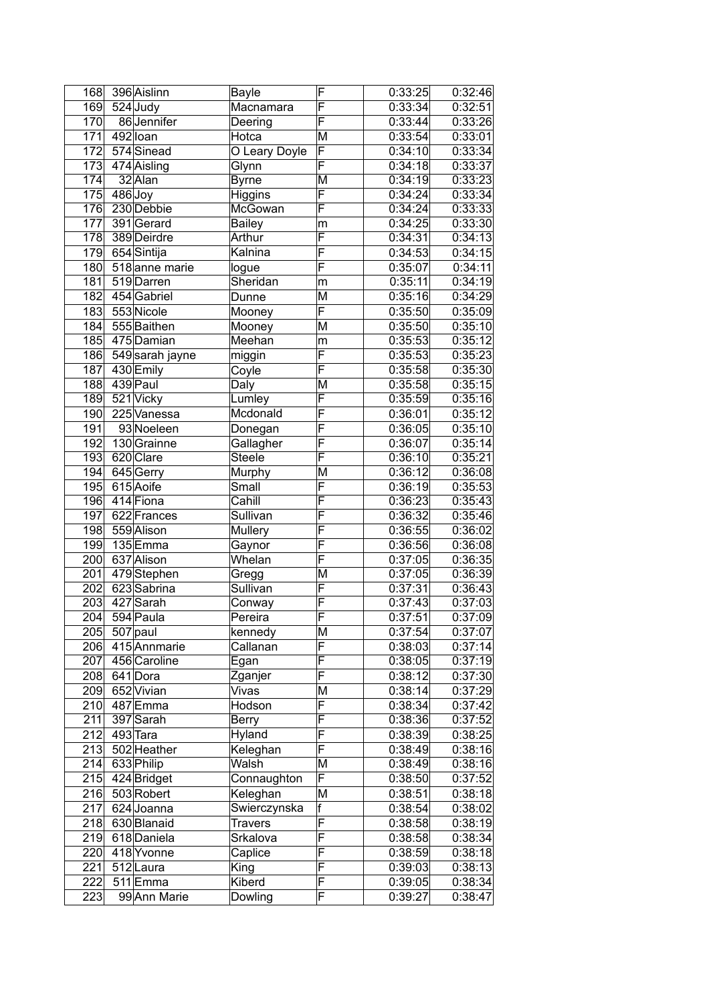| 168 | 396 Aislinn      | Bayle         | F                       | 0:33:25 | 0:32:46 |
|-----|------------------|---------------|-------------------------|---------|---------|
| 169 | $524$ Judy       | Macnamara     | $\overline{\mathsf{F}}$ | 0:33:34 | 0:32:51 |
| 170 | 86 Jennifer      | Deering       | F                       | 0:33:44 | 0:33:26 |
| 171 | 492 loan         | Hotca         | M                       | 0:33:54 | 0:33:01 |
| 172 | 574 Sinead       | O Leary Doyle | F                       | 0:34:10 | 0:33:34 |
| 173 | 474 Aisling      | Glynn         | F                       | 0:34:18 | 0:33:37 |
| 174 | $32$ Alan        | <b>Byrne</b>  | M                       | 0:34:19 | 0:33:23 |
| 175 | $486$ Joy        | Higgins       | F                       | 0:34:24 | 0:33:34 |
| 176 | 230 Debbie       | McGowan       | F                       | 0:34:24 | 0:33:33 |
| 177 | 391 Gerard       | Bailey        | m                       | 0:34:25 | 0:33:30 |
| 178 | 389 Deirdre      | Arthur        | F                       | 0:34:31 | 0:34:13 |
|     | 179 654 Sintija  | Kalnina       | F                       | 0:34:53 | 0:34:15 |
| 180 | 518 anne marie   | logue         | $\overline{\mathsf{F}}$ | 0:35:07 | 0:34:11 |
| 181 | 519 Darren       | Sheridan      | m                       | 0:35:11 | 0:34:19 |
|     | 182 454 Gabriel  | Dunne         | M                       | 0:35:16 | 0:34:29 |
| 183 | 553Nicole        | Mooney        | F                       | 0:35:50 | 0:35:09 |
| 184 | 555 Baithen      | Mooney        | M                       | 0:35:50 | 0:35:10 |
| 185 | 475 Damian       | Meehan        | m                       | 0:35:53 | 0:35:12 |
| 186 | 549 sarah jayne  | miggin        | $\overline{\mathsf{F}}$ | 0:35:53 | 0:35:23 |
| 187 | 430 Emily        | Coyle         | $\overline{\mathsf{F}}$ | 0:35:58 | 0:35:30 |
| 188 | 439 Paul         | Daly          | M                       | 0:35:58 | 0:35:15 |
| 189 | 521 Vicky        | Lumley        | F                       | 0:35:59 | 0:35:16 |
| 190 | 225 Vanessa      | Mcdonald      | $\overline{\mathsf{F}}$ | 0:36:01 | 0:35:12 |
| 191 | 93 Noeleen       | Donegan       | $\overline{\mathsf{F}}$ | 0:36:05 | 0:35:10 |
| 192 | 130 Grainne      | Gallagher     | F                       | 0:36:07 | 0:35:14 |
| 193 | 620 Clare        | <b>Steele</b> | F                       | 0:36:10 | 0:35:21 |
| 194 | $645$ Gerry      | Murphy        | M                       | 0:36:12 | 0:36:08 |
| 195 | 615 Aoife        | Small         | F                       | 0:36:19 | 0:35:53 |
| 196 | 414 Fiona        | Cahill        | F                       | 0:36:23 | 0:35:43 |
| 197 | 622 Frances      | Sullivan      | F                       | 0:36:32 | 0:35:46 |
| 198 | 559 Alison       | Mullery       | $\overline{\mathsf{F}}$ | 0:36:55 | 0:36:02 |
| 199 | 135 Emma         | Gaynor        | F                       | 0:36:56 | 0:36:08 |
| 200 | 637 Alison       | Whelan        | F                       | 0:37:05 | 0:36:35 |
| 201 | 479 Stephen      | Gregg         | M                       | 0:37:05 | 0:36:39 |
| 202 | 623 Sabrina      | Sullivan      | $\overline{\mathsf{F}}$ | 0:37:31 | 0:36:43 |
| 203 | 427 Sarah        | Conway        | $\overline{\mathsf{F}}$ | 0:37:43 | 0:37:03 |
| 204 | 594 Paula        | Pereira       | $\overline{\mathsf{F}}$ | 0:37:51 | 0:37:09 |
|     | 205 507 paul     | kennedy       | M                       | 0:37:54 | 0:37:07 |
| 206 | 415 Annmarie     | Callanan      | $\overline{\mathsf{F}}$ | 0:38:03 | 0:37:14 |
|     | 207 456 Caroline | Egan          | F                       | 0:38:05 | 0:37:19 |
|     | 208 641 Dora     | Zganjer       | F                       | 0:38:12 | 0:37:30 |
|     | 209 652 Vivian   | Vivas         | M                       | 0:38:14 | 0:37:29 |
| 210 | 487 Emma         | Hodson        | $\overline{F}$          | 0:38:34 | 0:37:42 |
| 211 | 397 Sarah        | <b>Berry</b>  | $\overline{\mathsf{F}}$ | 0:38:36 | 0:37:52 |
| 212 | $493$ Tara       | Hyland        | $\overline{\mathsf{F}}$ | 0:38:39 | 0:38:25 |
| 213 | 502 Heather      | Keleghan      | F                       | 0:38:49 | 0:38:16 |
|     | 214 633 Philip   | Walsh         | M                       | 0:38:49 | 0:38:16 |
| 215 | 424 Bridget      | Connaughton   | F                       | 0:38:50 | 0:37:52 |
| 216 | 503 Robert       | Keleghan      | M                       | 0:38:51 | 0:38:18 |
| 217 | 624 Joanna       | Swierczynska  | f                       | 0:38:54 | 0:38:02 |
|     | 218 630 Blanaid  | Travers       | F                       | 0:38:58 | 0:38:19 |
| 219 | 618 Daniela      | Srkalova      | F                       | 0:38:58 | 0:38:34 |
| 220 | 418 Yvonne       | Caplice       | F                       | 0:38:59 | 0:38:18 |
| 221 | 512Laura         | King          | F                       | 0:39:03 | 0:38:13 |
| 222 | 511 Emma         | Kiberd        | F                       | 0:39:05 | 0:38:34 |
| 223 | 99 Ann Marie     | Dowling       | F                       | 0:39:27 | 0:38:47 |